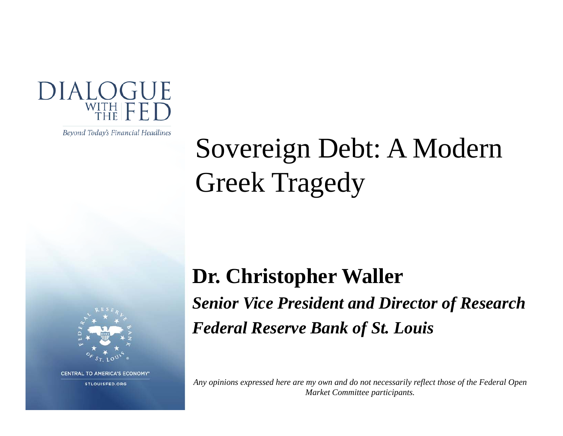

Beyond Today's Financial Headlines

# Sovereign Debt: A Modern Greek Tragedy



**CENTRAL TO AMERICA'S ECONOMY\*** 

STLOUISFED.ORG

**Dr. Christopher Waller** Senior Vice President and Director of Research *Federal Reserve Bank of St. Louis*

*Any opinions expressed here are my own and do not necessarily reflect those of the Federal Open Market Committee participants.*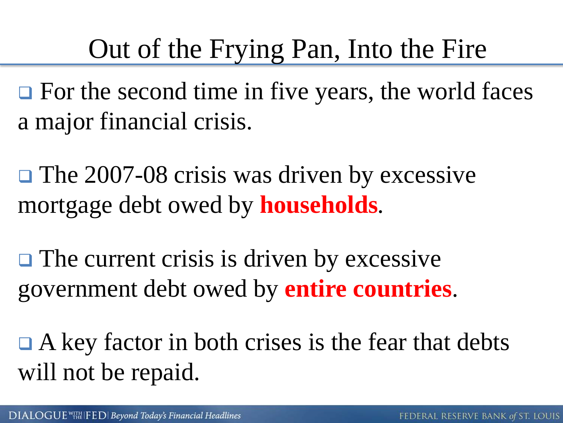### Out of the Frying Pan, Into the Fire

 $\Box$  For the second time in five years, the world faces a major financial crisis.

**□ The 2007-08 crisis was driven by excessive** mortgage debt owed by **households***.*

 $\Box$  The current crisis is driven by excessive government debt owed by **entire countries**.

 $\Box$  A key factor in both crises is the fear that debts will not be repaid.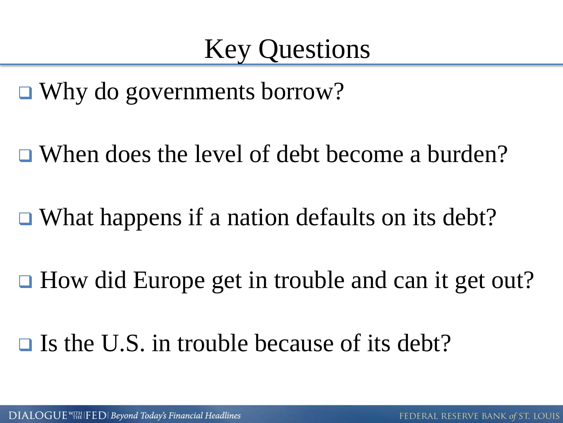■ Why do governments borrow?

**□ When does the level of debt become a burden?** 

 $\Box$  What happens if a nation defaults on its debt?

 $\Box$  How did Europe get in trouble and can it get out?

 $\Box$  Is the U.S. in trouble because of its debt?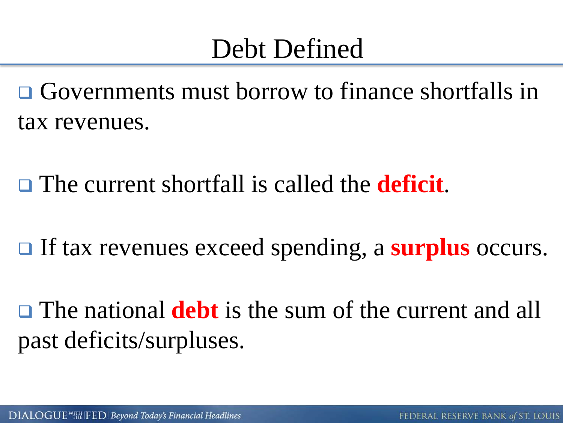### Debt Defined

 Governments must borrow to finance shortfalls in tax revenues.

The current shortfall is called the **deficit**.

□ If tax revenues exceed spending, a **surplus** occurs.

 The national **debt** is the sum of the current and all past deficits/surpluses.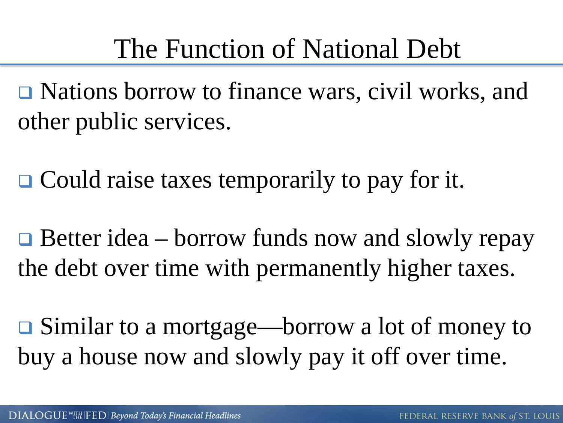**□** Nations borrow to finance wars, civil works, and other public services.

**□ Could raise taxes temporarily to pay for it.** 

 $\Box$  Better idea – borrow funds now and slowly repay the debt over time with permanently higher taxes.

 Similar to a mortgage—borrow a lot of money to buy a house now and slowly pay it off over time.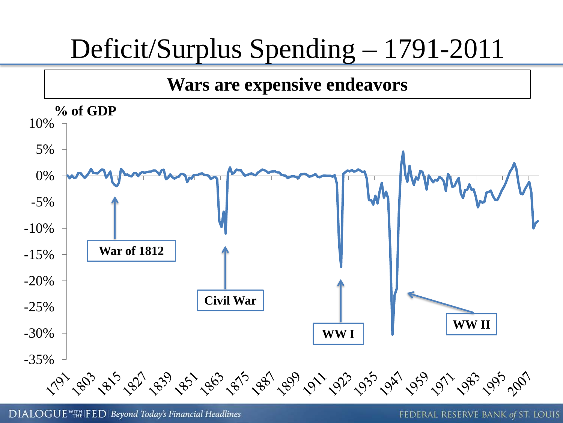### Deficit/Surplus Spending – 1791-2011



DIALOGUE<sup>WITH</sup> IFED | Beyond Today's Financial Headlines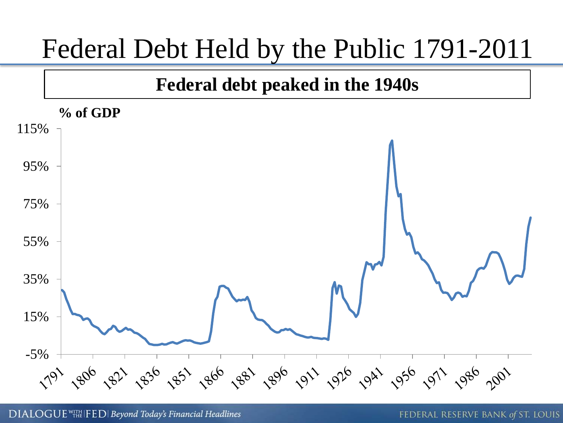### Federal Debt Held by the Public 1791-2011

#### **Federal debt peaked in the 1940s**

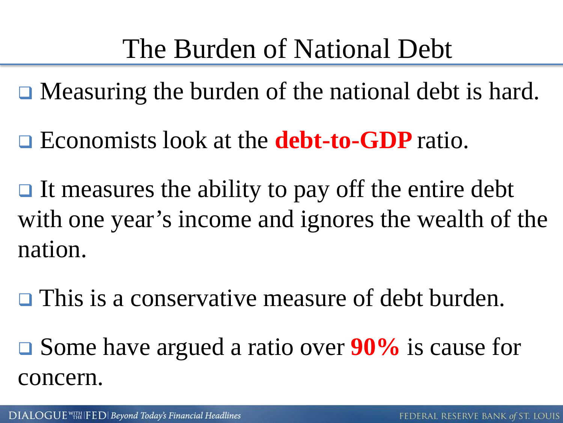- **□** Measuring the burden of the national debt is hard.
- Economists look at the **debt-to-GDP** ratio.
- $\Box$  It measures the ability to pay off the entire debt with one year's income and ignores the wealth of the nation.
- **□** This is a conservative measure of debt burden.
- Some have argued a ratio over **90%** is cause for concern.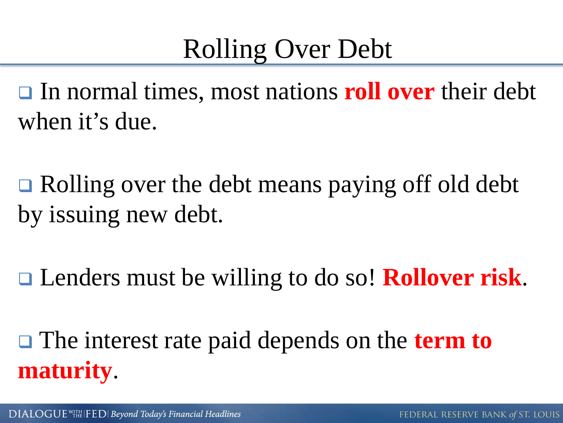## Rolling Over Debt

**□** In normal times, most nations **roll over** their debt when it's due.

**□** Rolling over the debt means paying off old debt by issuing new debt.

Lenders must be willing to do so! **Rollover risk**.

□ The interest rate paid depends on the **term to maturity**.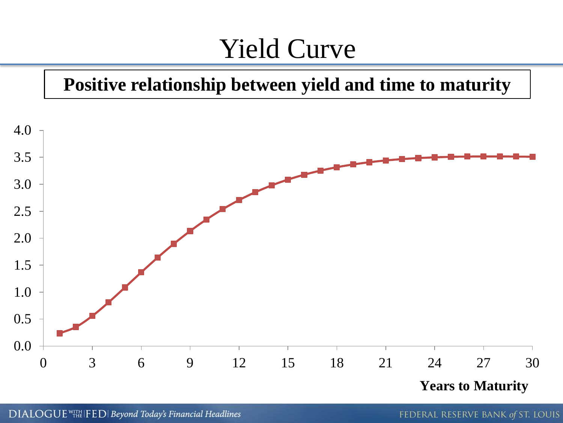### Yield Curve

#### **Positive relationship between yield and time to maturity**



DIALOGUE <sup>WITH</sup> IFED | Beyond Today's Financial Headlines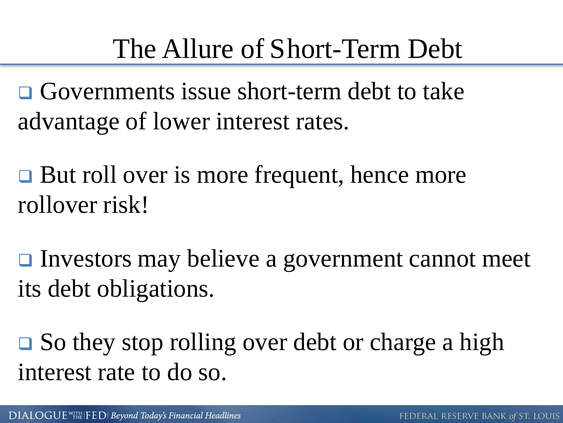## The Allure of Short-Term Debt

 Governments issue short-term debt to take advantage of lower interest rates.

**□** But roll over is more frequent, hence more rollover risk!

**□** Investors may believe a government cannot meet its debt obligations.

**□** So they stop rolling over debt or charge a high interest rate to do so.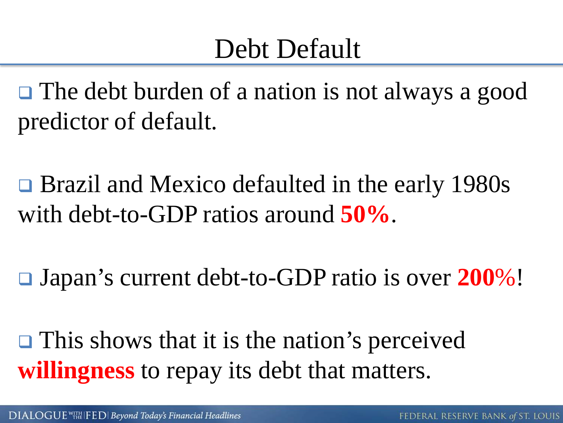### Debt Default

□ The debt burden of a nation is not always a good predictor of default.

**□** Brazil and Mexico defaulted in the early 1980s with debt-to-GDP ratios around **50%**.

Japan's current debt-to-GDP ratio is over **200**%!

 $\Box$  This shows that it is the nation's perceived **willingness** to repay its debt that matters.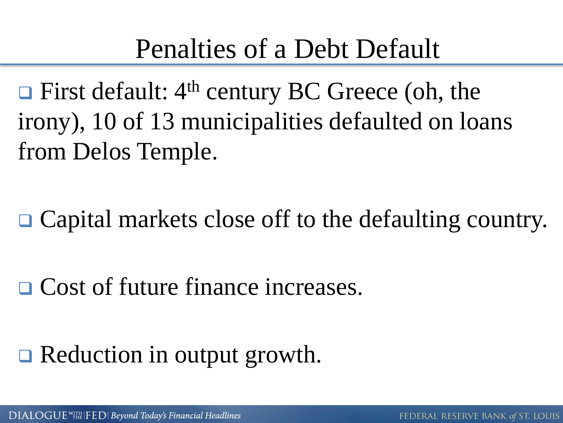$\Box$  First default: 4<sup>th</sup> century BC Greece (oh, the irony), 10 of 13 municipalities defaulted on loans from Delos Temple.

□ Capital markets close off to the defaulting country.

**□ Cost of future finance increases.** 

### Reduction in output growth.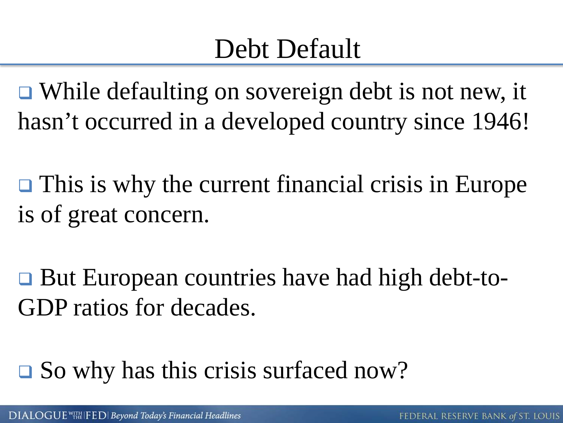## Debt Default

**□ While defaulting on sovereign debt is not new, it** hasn't occurred in a developed country since 1946!

 $\Box$  This is why the current financial crisis in Europe is of great concern.

**□ But European countries have had high debt-to-**GDP ratios for decades.

 $\square$  So why has this crisis surfaced now?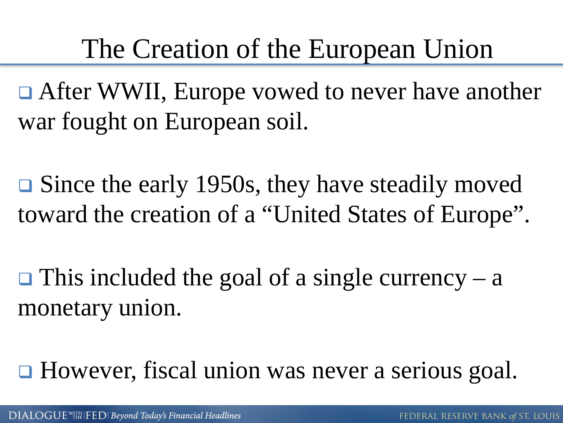### The Creation of the European Union

□ After WWII, Europe vowed to never have another war fought on European soil.

**□** Since the early 1950s, they have steadily moved toward the creation of a "United States of Europe".

 $\Box$  This included the goal of a single currency – a monetary union.

**□** However, fiscal union was never a serious goal.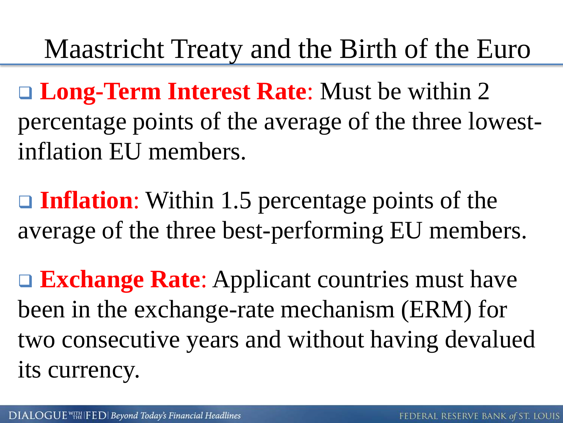### Maastricht Treaty and the Birth of the Euro

 **Long-Term Interest Rate**: Must be within 2 percentage points of the average of the three lowestinflation EU members.

**□ Inflation**: Within 1.5 percentage points of the average of the three best-performing EU members.

**□ Exchange Rate**: Applicant countries must have been in the exchange-rate mechanism (ERM) for two consecutive years and without having devalued its currency.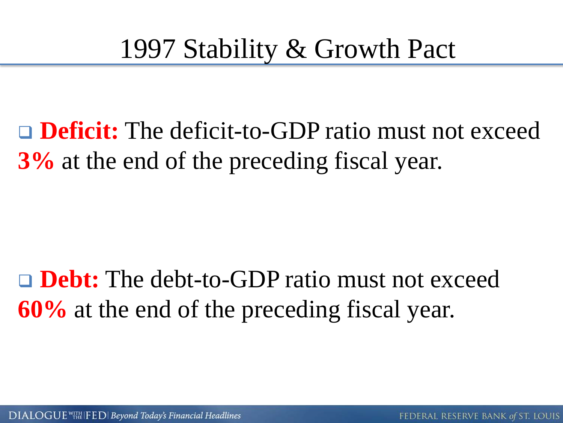□ **Deficit:** The deficit-to-GDP ratio must not exceed **3%** at the end of the preceding fiscal year.

**Debt:** The debt-to-GDP ratio must not exceed **60%** at the end of the preceding fiscal year.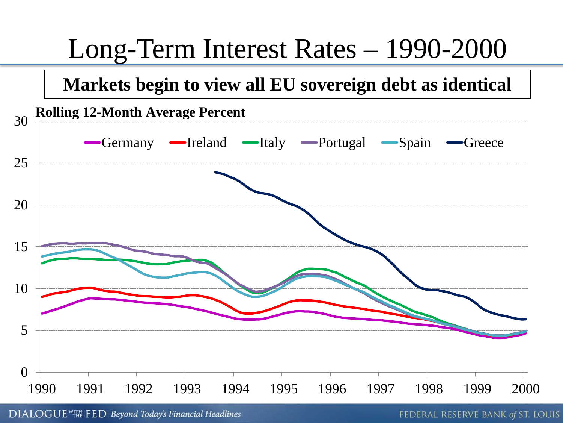

DIALOGUE WITH FED Beyond Today's Financial Headlines

FEDERAL RESERVE BANK of ST. LOUIS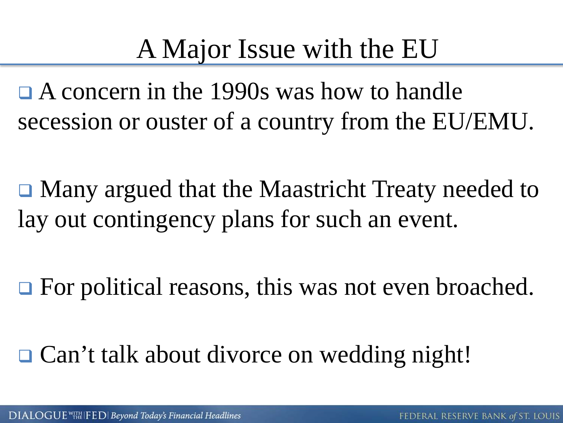## A Major Issue with the EU

 A concern in the 1990s was how to handle secession or ouster of a country from the EU/EMU.

 Many argued that the Maastricht Treaty needed to lay out contingency plans for such an event.

**□** For political reasons, this was not even broached.

**□ Can't talk about divorce on wedding night!**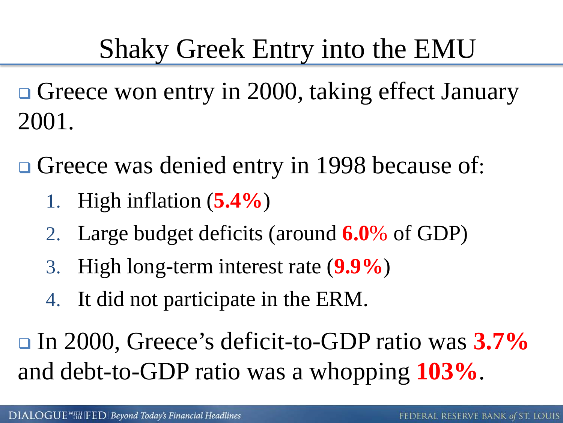- Greece won entry in 2000, taking effect January 2001.
- Greece was denied entry in 1998 because of:
	- 1. High inflation (**5.4%**)
	- 2. Large budget deficits (around **6.0**% of GDP)
	- 3. High long-term interest rate (**9.9%**)
	- 4. It did not participate in the ERM.

 In 2000, Greece's deficit-to-GDP ratio was **3.7%** and debt-to-GDP ratio was a whopping **103%**.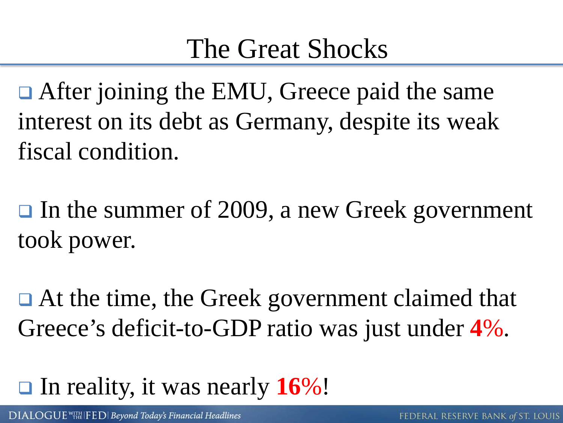### The Great Shocks

**□** After joining the EMU, Greece paid the same interest on its debt as Germany, despite its weak fiscal condition.

 $\Box$  In the summer of 2009, a new Greek government took power.

**□** At the time, the Greek government claimed that Greece's deficit-to-GDP ratio was just under **4**%.

### In reality, it was nearly **16**%!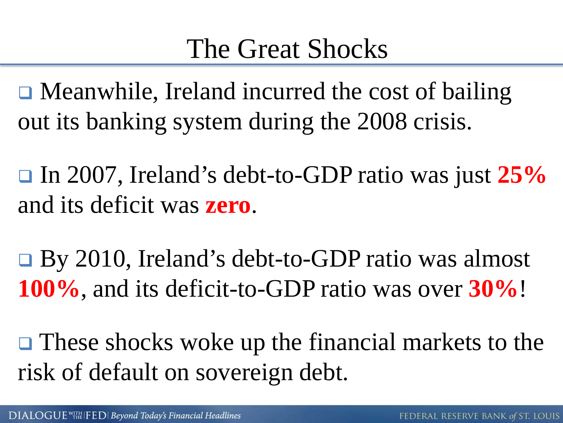### The Great Shocks

**□** Meanwhile, Ireland incurred the cost of bailing out its banking system during the 2008 crisis.

 In 2007, Ireland's debt-to-GDP ratio was just **25%** and its deficit was **zero**.

 By 2010, Ireland's debt-to-GDP ratio was almost **100%**, and its deficit-to-GDP ratio was over **30%**!

 $\Box$  These shocks woke up the financial markets to the risk of default on sovereign debt.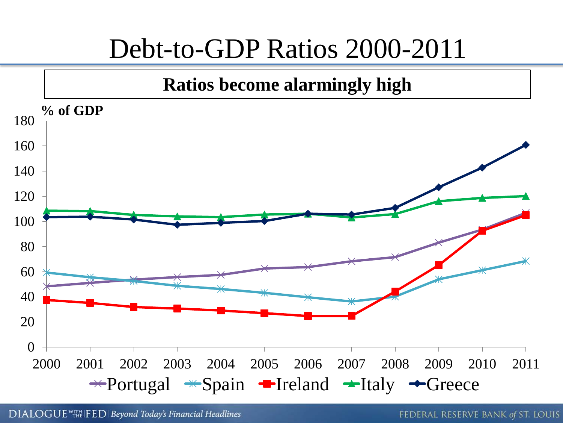### Debt-to-GDP Ratios 2000-2011

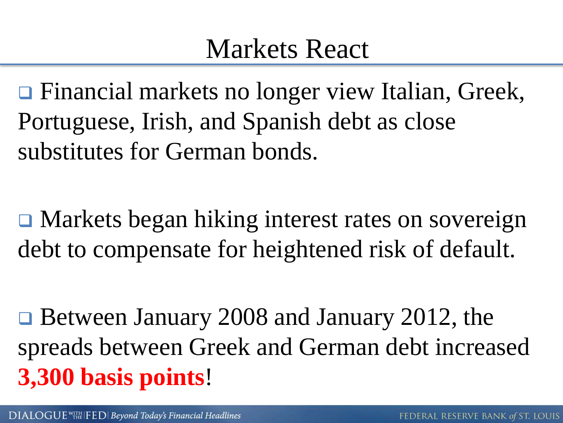### Markets React

**□** Financial markets no longer view Italian, Greek, Portuguese, Irish, and Spanish debt as close substitutes for German bonds.

 Markets began hiking interest rates on sovereign debt to compensate for heightened risk of default.

**□ Between January 2008 and January 2012, the** spreads between Greek and German debt increased **3,300 basis points**!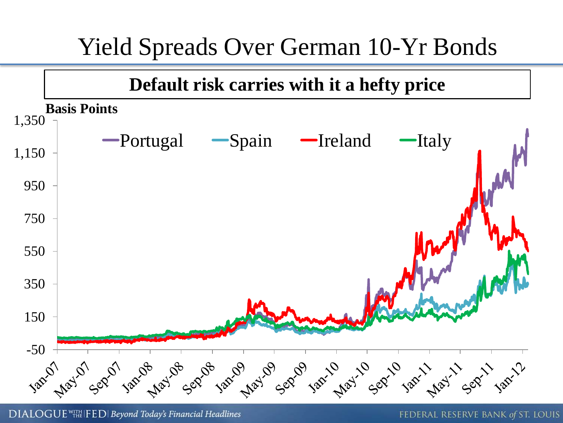### Yield Spreads Over German 10-Yr Bonds



DIALOGUE<sup>WITH</sup> IFED | Beyond Today's Financial Headlines

FEDERAL RESERVE BANK of ST. LOUIS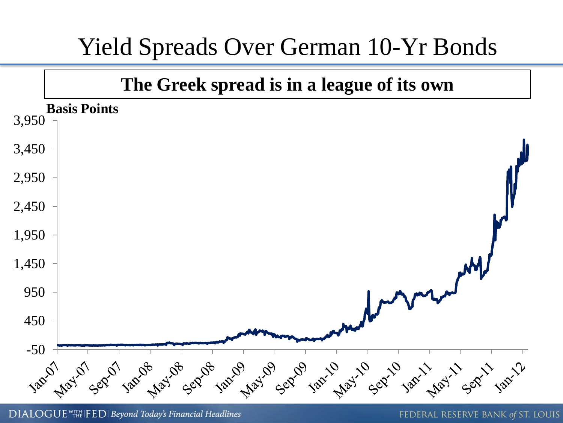### Yield Spreads Over German 10-Yr Bonds



DIALOGUE<sup>WITH</sup> IFED | Beyond Today's Financial Headlines

FEDERAL RESERVE BANK of ST. LOUIS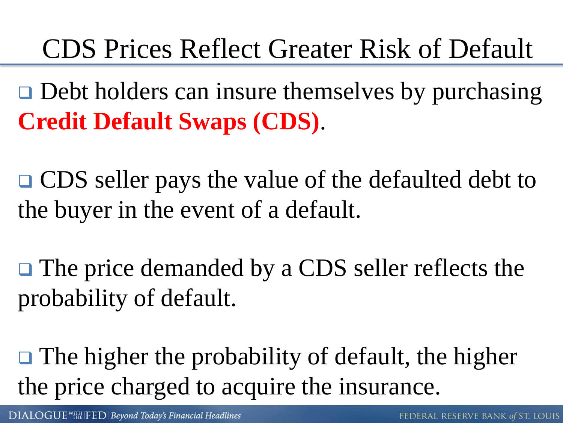## CDS Prices Reflect Greater Risk of Default

 $\Box$  Debt holders can insure themselves by purchasing **Credit Default Swaps (CDS)**.

**□ CDS** seller pays the value of the defaulted debt to the buyer in the event of a default.

**□** The price demanded by a CDS seller reflects the probability of default.

 $\Box$  The higher the probability of default, the higher the price charged to acquire the insurance.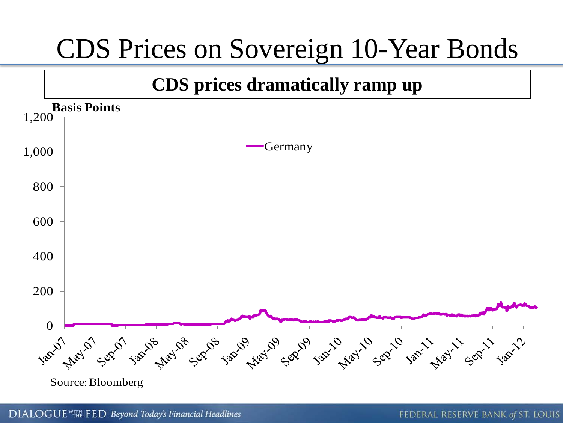

DIALOGUE<sup>WITH</sup> IFED | Beyond Today's Financial Headlines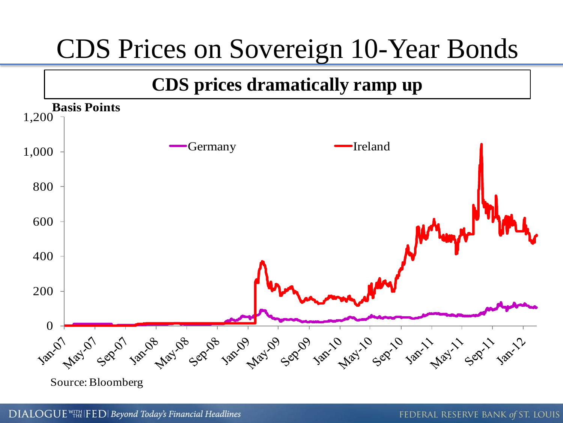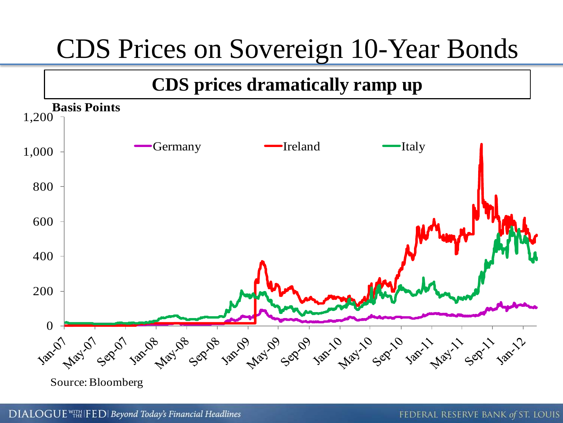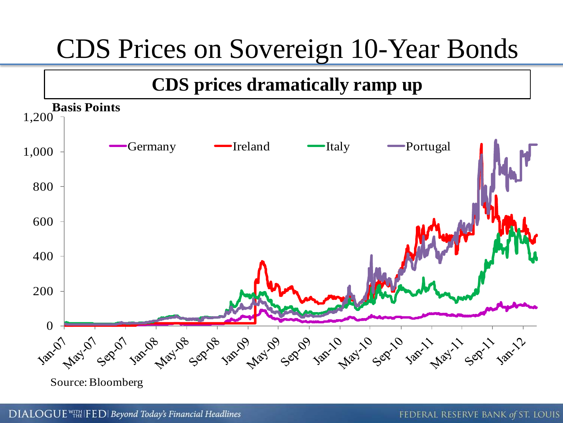

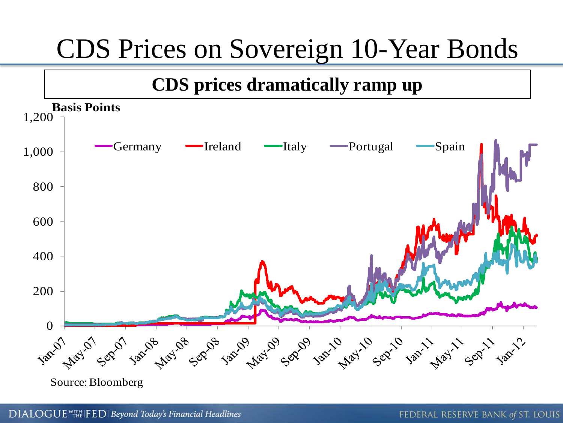

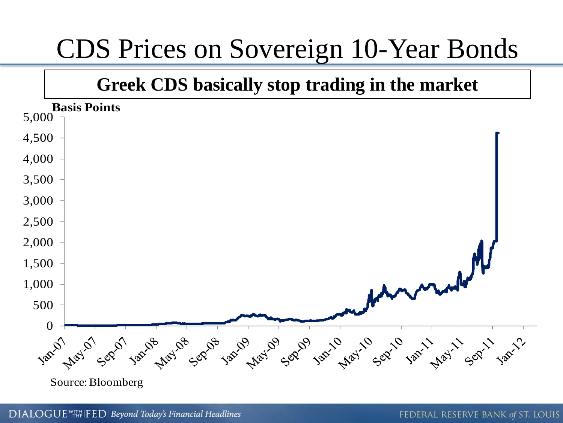#### **Greek CDS basically stop trading in the market**



DIALOGUE WITH FED | Beyond Today's Financial Headlines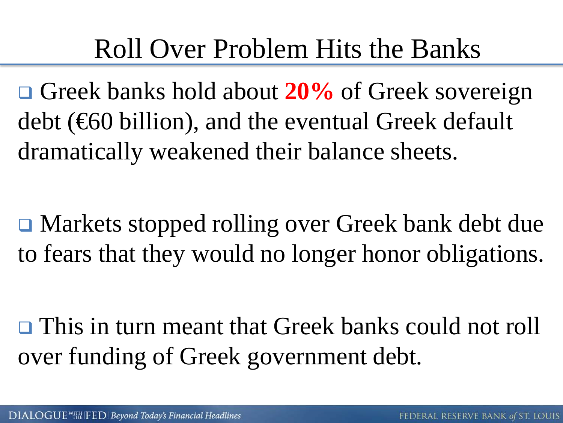### Roll Over Problem Hits the Banks

 Greek banks hold about **20%** of Greek sovereign debt (€60 billion), and the eventual Greek default dramatically weakened their balance sheets.

 Markets stopped rolling over Greek bank debt due to fears that they would no longer honor obligations.

 This in turn meant that Greek banks could not roll over funding of Greek government debt.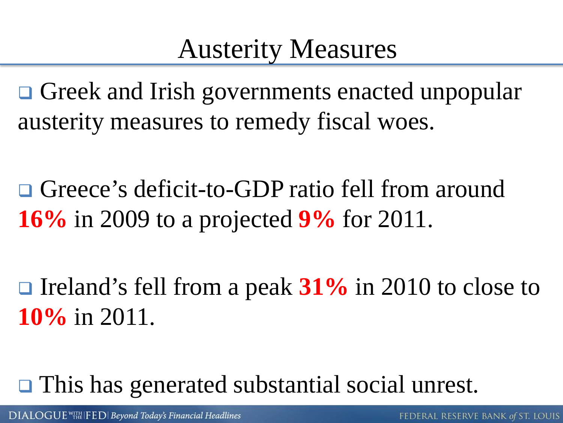### Austerity Measures

Greek and Irish governments enacted unpopular austerity measures to remedy fiscal woes.

□ Greece's deficit-to-GDP ratio fell from around **16%** in 2009 to a projected **9%** for 2011.

**□** Ireland's fell from a peak 31% in 2010 to close to **10%** in 2011.

**□** This has generated substantial social unrest.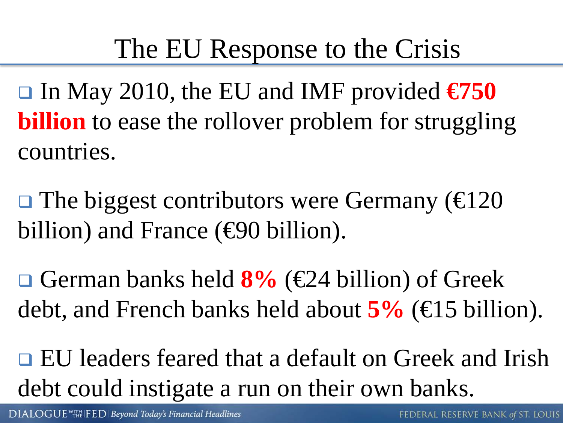### The EU Response to the Crisis

 In May 2010, the EU and IMF provided **€750 billion** to ease the rollover problem for struggling countries.

 $\Box$  The biggest contributors were Germany ( $\bigoplus$  20 billion) and France (€90 billion).

 German banks held **8%** (€24 billion) of Greek debt, and French banks held about **5%** (€15 billion).

■ EU leaders feared that a default on Greek and Irish debt could instigate a run on their own banks.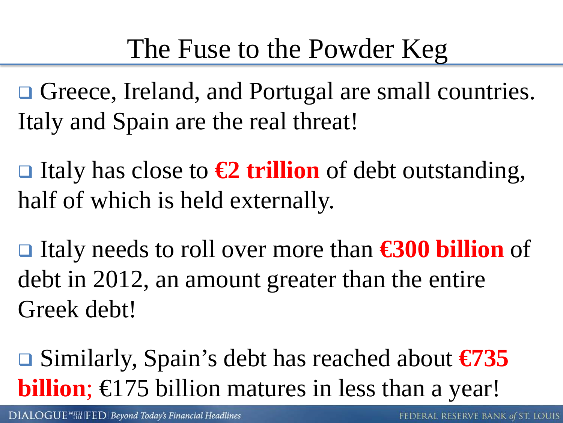**□** Greece, Ireland, and Portugal are small countries. Italy and Spain are the real threat!

 Italy has close to **€2 trillion** of debt outstanding, half of which is held externally.

 Italy needs to roll over more than **€300 billion** of debt in 2012, an amount greater than the entire Greek debt!

 Similarly, Spain's debt has reached about **€735 billion**; €175 billion matures in less than a year!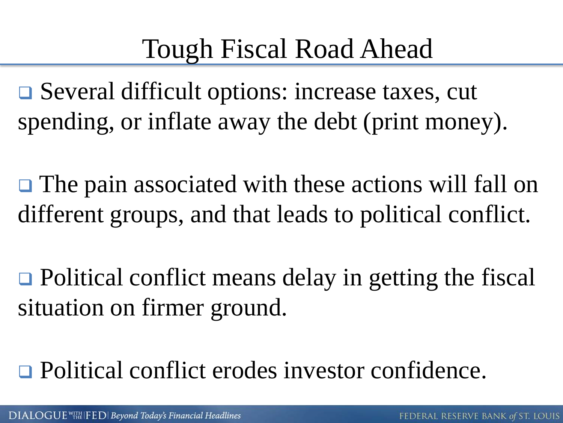## Tough Fiscal Road Ahead

 Several difficult options: increase taxes, cut spending, or inflate away the debt (print money).

**□** The pain associated with these actions will fall on different groups, and that leads to political conflict.

 $\Box$  Political conflict means delay in getting the fiscal situation on firmer ground.

□ Political conflict erodes investor confidence.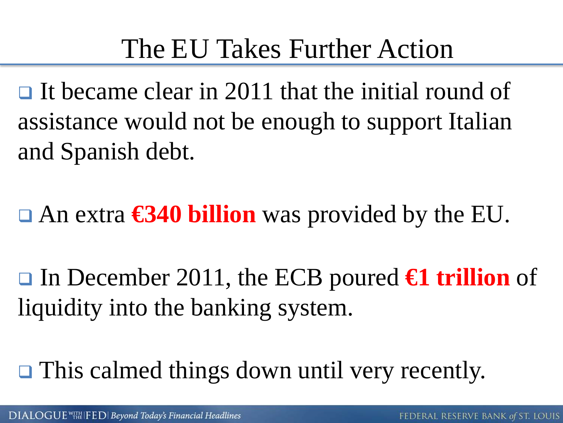## The EU Takes Further Action

 $\Box$  It became clear in 2011 that the initial round of assistance would not be enough to support Italian and Spanish debt.

An extra **€340 billion** was provided by the EU.

 In December 2011, the ECB poured **€1 trillion** of liquidity into the banking system.

**□** This calmed things down until very recently.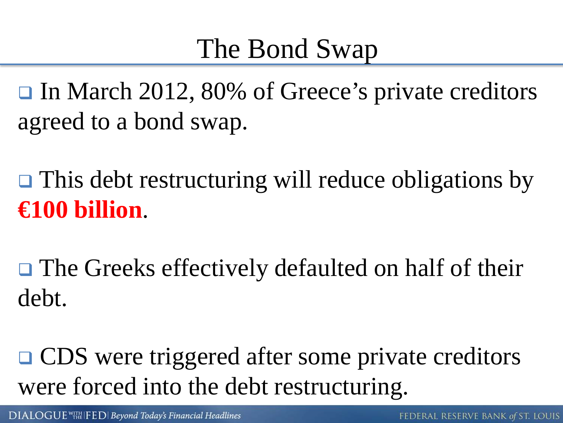### The Bond Swap

**□** In March 2012, 80% of Greece's private creditors agreed to a bond swap.

**□** This debt restructuring will reduce obligations by **€100 billion**.

**□** The Greeks effectively defaulted on half of their debt.

**□ CDS** were triggered after some private creditors were forced into the debt restructuring.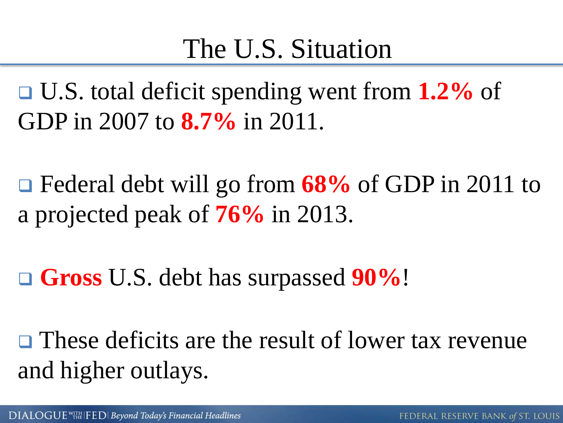### The U.S. Situation

 U.S. total deficit spending went from **1.2%** of GDP in 2007 to **8.7%** in 2011.

 Federal debt will go from **68%** of GDP in 2011 to a projected peak of **76%** in 2013.

**Gross** U.S. debt has surpassed **90%**!

 $\Box$  These deficits are the result of lower tax revenue and higher outlays.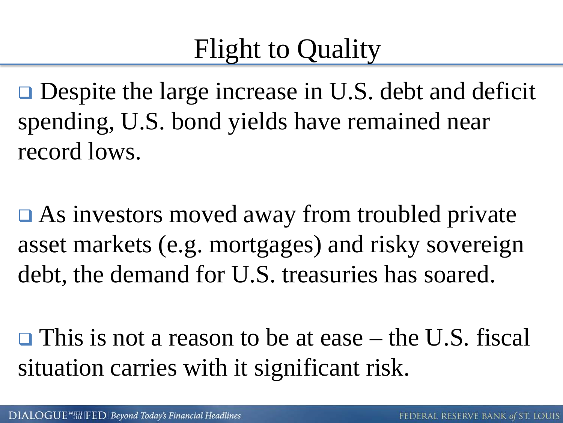### Flight to Quality

**□** Despite the large increase in U.S. debt and deficit spending, U.S. bond yields have remained near record lows.

**□** As investors moved away from troubled private asset markets (e.g. mortgages) and risky sovereign debt, the demand for U.S. treasuries has soared.

 $\Box$  This is not a reason to be at ease – the U.S. fiscal situation carries with it significant risk.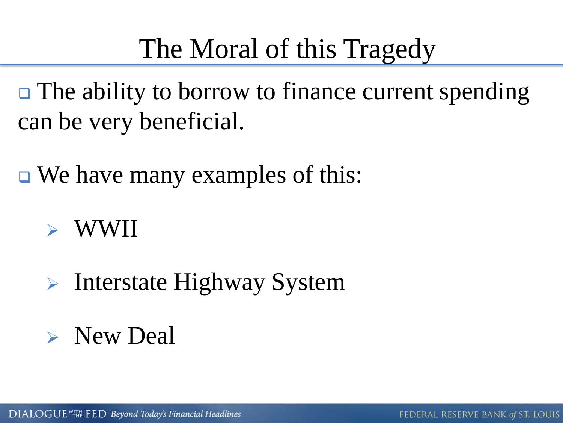## The Moral of this Tragedy

 $\Box$  The ability to borrow to finance current spending can be very beneficial.

**□** We have many examples of this:

#### WWII

- $\triangleright$  Interstate Highway System
- **Example New Deal**